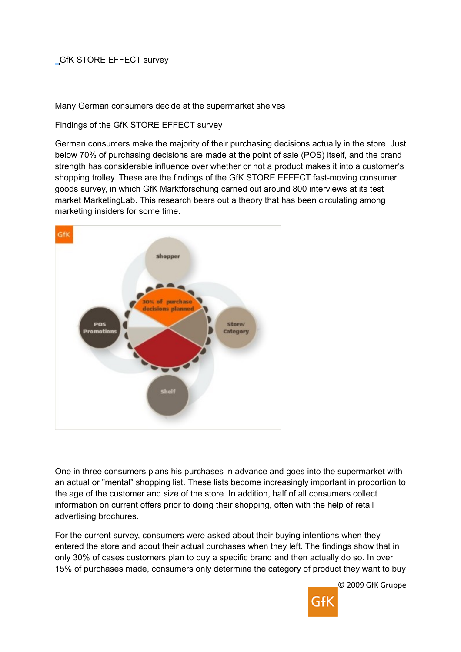## GfK STORE EFFECT survey

Many German consumers decide at the supermarket shelves

Findings of the GfK STORE EFFECT survey

German consumers make the majority of their purchasing decisions actually in the store. Just below 70% of purchasing decisions are made at the point of sale (POS) itself, and the brand strength has considerable influence over whether or not a product makes it into a customer's shopping trolley. These are the findings of the GfK STORE EFFECT fast-moving consumer goods survey, in which GfK Marktforschung carried out around 800 interviews at its test market MarketingLab. This research bears out a theory that has been circulating among marketing insiders for some time.



One in three consumers plans his purchases in advance and goes into the supermarket with an actual or "mental" shopping list. These lists become increasingly important in proportion to the age of the customer and size of the store. In addition, half of all consumers collect information on current offers prior to doing their shopping, often with the help of retail advertising brochures.

For the current survey, consumers were asked about their buying intentions when they entered the store and about their actual purchases when they left. The findings show that in only 30% of cases customers plan to buy a specific brand and then actually do so. In over 15% of purchases made, consumers only determine the category of product they want to buy

© 2009 GfK Gruppe

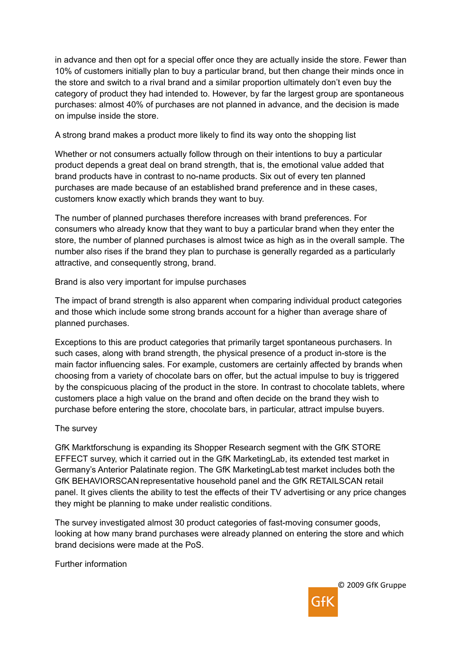in advance and then opt for a special offer once they are actually inside the store. Fewer than 10% of customers initially plan to buy a particular brand, but then change their minds once in the store and switch to a rival brand and a similar proportion ultimately don't even buy the category of product they had intended to. However, by far the largest group are spontaneous purchases: almost 40% of purchases are not planned in advance, and the decision is made on impulse inside the store.

A strong brand makes a product more likely to find its way onto the shopping list

Whether or not consumers actually follow through on their intentions to buy a particular product depends a great deal on brand strength, that is, the emotional value added that brand products have in contrast to no-name products. Six out of every ten planned purchases are made because of an established brand preference and in these cases, customers know exactly which brands they want to buy.

The number of planned purchases therefore increases with brand preferences. For consumers who already know that they want to buy a particular brand when they enter the store, the number of planned purchases is almost twice as high as in the overall sample. The number also rises if the brand they plan to purchase is generally regarded as a particularly attractive, and consequently strong, brand.

Brand is also very important for impulse purchases

The impact of brand strength is also apparent when comparing individual product categories and those which include some strong brands account for a higher than average share of planned purchases.

Exceptions to this are product categories that primarily target spontaneous purchasers. In such cases, along with brand strength, the physical presence of a product in-store is the main factor influencing sales. For example, customers are certainly affected by brands when choosing from a variety of chocolate bars on offer, but the actual impulse to buy is triggered by the conspicuous placing of the product in the store. In contrast to chocolate tablets, where customers place a high value on the brand and often decide on the brand they wish to purchase before entering the store, chocolate bars, in particular, attract impulse buyers.

## The survey

GfK Marktforschung is expanding its Shopper Research segment with the GfK STORE EFFECT survey, which it carried out in the GfK MarketingLab, its extended test market in Germany's Anterior Palatinate region. The GfK MarketingLab test market includes both the GfK BEHAVIORSCAN representative household panel and the GfK RETAILSCAN retail panel. It gives clients the ability to test the effects of their TV advertising or any price changes they might be planning to make under realistic conditions.

The survey investigated almost 30 product categories of fast-moving consumer goods, looking at how many brand purchases were already planned on entering the store and which brand decisions were made at the PoS.

Further information